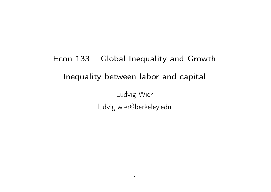# Econ 133 – Global Inequality and Growth Inequality between labor and capital

Ludvig Wier ludvig.wier@berkeley.edu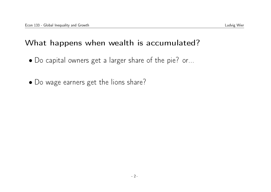# What happens when wealth is accumulated?

- Do capital owners get a larger share of the pie? or...
- Do wage earners get the lions share?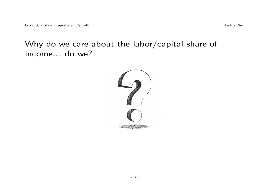Why do we care about the labor/capital share of income... do we?

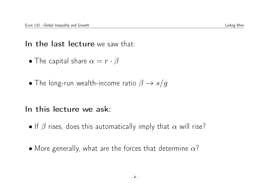In the last lecture we saw that:

- The capital share  $\alpha = r \cdot \beta$
- The long-run wealth-income ratio  $\beta \rightarrow s/g$

#### In this lecture we ask:

- If  $\beta$  rises, does this automatically imply that  $\alpha$  will rise?
- More generally, what are the forces that determine  $\alpha$ ?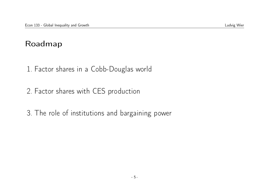#### Roadmap

- 1. Factor shares in a Cobb-Douglas world
- 2. Factor shares with CES production
- 3. The role of institutions and bargaining power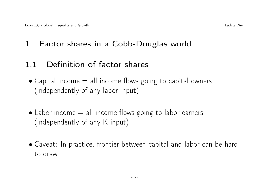# 1 Factor shares in a Cobb-Douglas world

### 1.1 Definition of factor shares

- $\bullet$  Capital income  $=$  all income flows going to capital owners (independently of any labor input)
- $\bullet$  Labor income  $=$  all income flows going to labor earners (independently of any K input)
- Caveat: In practice, frontier between capital and labor can be hard to draw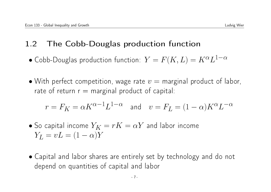# 1.2 The Cobb-Douglas production function

- $\bullet$  Cobb-Douglas production function:  $Y=F(K,L)=K^{\alpha}L^{1-\alpha}$
- With perfect competition, wage rate  $v =$  marginal product of labor, rate of return  $r =$  marginal product of capital:

$$
r = F_K = \alpha K^{\alpha - 1} L^{1 - \alpha} \quad \text{and} \quad v = F_L = (1 - \alpha) K^{\alpha} L^{-\alpha}
$$

• So capital income 
$$
Y_K = rK = \alpha Y
$$
 and labor income  $Y_L = vL = (1 - \alpha)Y$ 

• Capital and labor shares are entirely set by technology and do not depend on quantities of capital and labor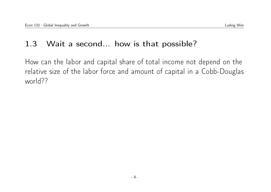### 1.3 Wait a second... how is that possible?

How can the labor and capital share of total income not depend on the relative size of the labor force and amount of capital in a Cobb-Douglas world??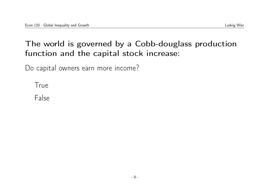# The world is governed by a Cobb-douglass production function and the capital stock increase:

Do capital owners earn more income?

True

False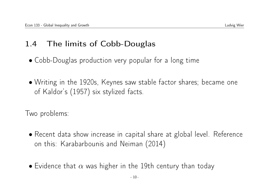# 1.4 The limits of Cobb-Douglas

- Cobb-Douglas production very popular for a long time
- Writing in the 1920s, Keynes saw stable factor shares; became one of Kaldor's (1957) six stylized facts.

Two problems:

- Recent data show increase in capital share at global level. Reference on this: Karabarbounis and Neiman (2014)
- Evidence that  $\alpha$  was higher in the 19th century than today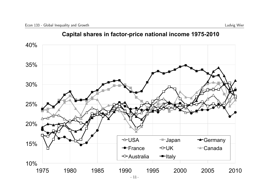

#### **Capital shares in factor-price national income 1975-2010**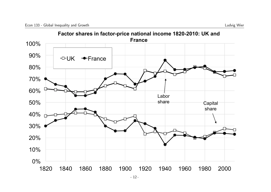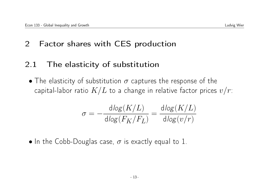# 2 Factor shares with CES production

# 2.1 The elasticity of substitution

• The elasticity of substitution  $\sigma$  captures the response of the capital-labor ratio  $K/L$  to a change in relative factor prices  $v/r$ :

$$
\sigma = -\frac{\text{dlog}(K/L)}{\text{dlog}(F_K/F_L)} = \frac{\text{dlog}(K/L)}{\text{dlog}(v/r)}
$$

• In the Cobb-Douglas case,  $\sigma$  is exactly equal to 1.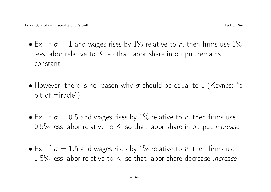- Ex: if  $\sigma = 1$  and wages rises by 1% relative to r, then firms use 1% less labor relative to K, so that labor share in output remains constant
- However, there is no reason why  $\sigma$  should be equal to 1 (Keynes: "a bit of miracle")
- Ex: if  $\sigma = 0.5$  and wages rises by 1% relative to r, then firms use 0.5% less labor relative to K, so that labor share in output *increase*
- Ex: if  $\sigma = 1.5$  and wages rises by 1% relative to r, then firms use 1.5% less labor relative to K, so that labor share decrease *increase*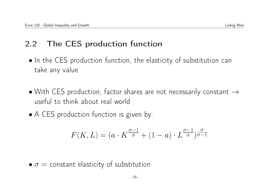# 2.2 The CES production function

- In the CES production function, the elasticity of substitution can take any value
- With CES production, factor shares are not necessarily constant  $\rightarrow$ useful to think about real world
- A CES production function is given by:

$$
F(K,L)=(a\cdot K^{\frac{\sigma-1}{\sigma}}+(1-a)\cdot L^{\frac{\sigma-1}{\sigma}})^{\frac{\sigma}{\sigma-1}}
$$

 $\bullet \sigma =$  constant elasticity of substitution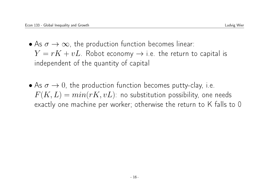- As  $\sigma \to \infty$ , the production function becomes linear:  $Y = rK + vL$ . Robot economy  $\rightarrow$  i.e. the return to capital is independent of the quantity of capital
- As  $\sigma \to 0$ , the production function becomes putty-clay, i.e.  $F(K, L) = min(rK, vL)$ : no substitution possibility, one needs exactly one machine per worker; otherwise the return to K falls to 0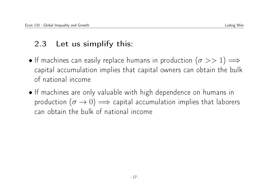# 2.3 Let us simplify this:

- If machines can easily replace humans in production  $(\sigma >> 1) \Longrightarrow$ capital accumulation implies that capital owners can obtain the bulk of national income
- If machines are only valuable with high dependence on humans in production  $(\sigma \to 0) \implies$  capital accumulation implies that laborers can obtain the bulk of national income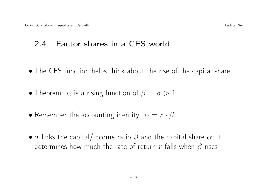### 2.4 Factor shares in a CES world

- The CES function helps think about the rise of the capital share
- Theorem:  $\alpha$  is a rising function of  $\beta$  iff  $\sigma > 1$
- Remember the accounting identity:  $\alpha = r \cdot \beta$
- $\sigma$  links the capital/income ratio  $\beta$  and the capital share  $\alpha$ : it determines how much the rate of return r falls when  $\beta$  rises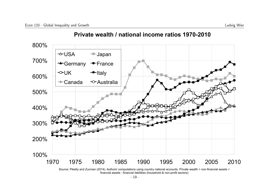

#### **Private wealth / national income ratios 1970-2010**

Source: Piketty and Zucman (2014). Authors' computations using country national accounts. Private wealth = non-financial assets + financial assets - financial liabilities (household & non-profit sectors)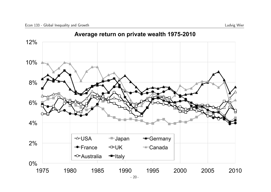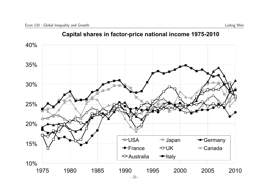

#### **Capital shares in factor-price national income 1975-2010**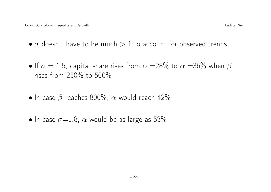- $\bullet$   $\sigma$  doesn't have to be much  $> 1$  to account for observed trends
- If  $\sigma = 1.5$ , capital share rises from  $\alpha = 28\%$  to  $\alpha = 36\%$  when  $\beta$ rises from 250% to 500%
- In case  $\beta$  reaches 800%,  $\alpha$  would reach 42%
- In case  $\sigma = 1.8$ ,  $\alpha$  would be as large as 53%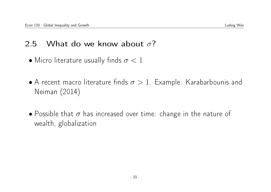# 2.5 What do we know about  $\sigma$ ?

- Micro literature usually finds  $\sigma < 1$
- A recent macro literature finds  $\sigma > 1$ . Example: Karabarbounis and Neiman (2014)
- Possible that  $\sigma$  has increased over time: change in the nature of wealth, globalization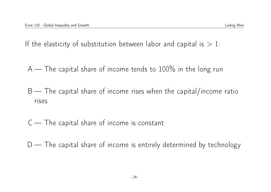If the elasticity of substitution between labor and capital is  $> 1$ :

 $A$  — The capital share of income tends to 100% in the long run

 $B$  — The capital share of income rises when the capital/income ratio rises

C — The capital share of income is constant

 $D$  — The capital share of income is entirely determined by technology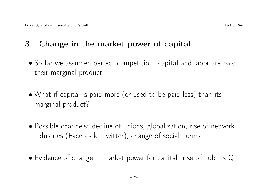# 3 Change in the market power of capital

- So far we assumed perfect competition: capital and labor are paid their marginal product
- What if capital is paid more (or used to be paid less) than its marginal product?
- Possible channels: decline of unions, globalization, rise of network industries (Facebook, Twitter), change of social norms
- Evidence of change in market power for capital: rise of Tobin's Q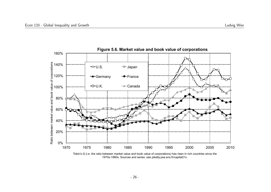

Tobin's Q (i.e. the ratio between market value and book value of corporations) has risen in rich countries since the 1970s-1980s. Sources and series: see piketty.pse.ens.fr/capital21c.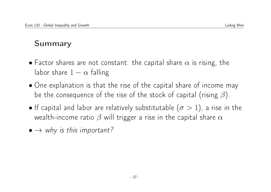# Summary

- Factor shares are not constant: the capital share  $\alpha$  is rising, the labor share  $1 - \alpha$  falling
- One explanation is that the rise of the capital share of income may be the consequence of the rise of the stock of capital (rising  $\beta$ ).
- If capital and labor are relatively substitutable  $(\sigma > 1)$ , a rise in the wealth-income ratio  $\beta$  will trigger a rise in the capital share  $\alpha$
- $\bullet \rightarrow$  why is this important?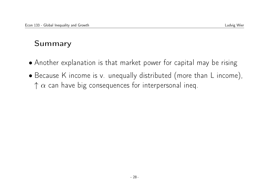# Summary

- Another explanation is that market power for capital may be rising
- Because K income is v. unequally distributed (more than L income),  $\uparrow \alpha$  can have big consequences for interpersonal ineq.